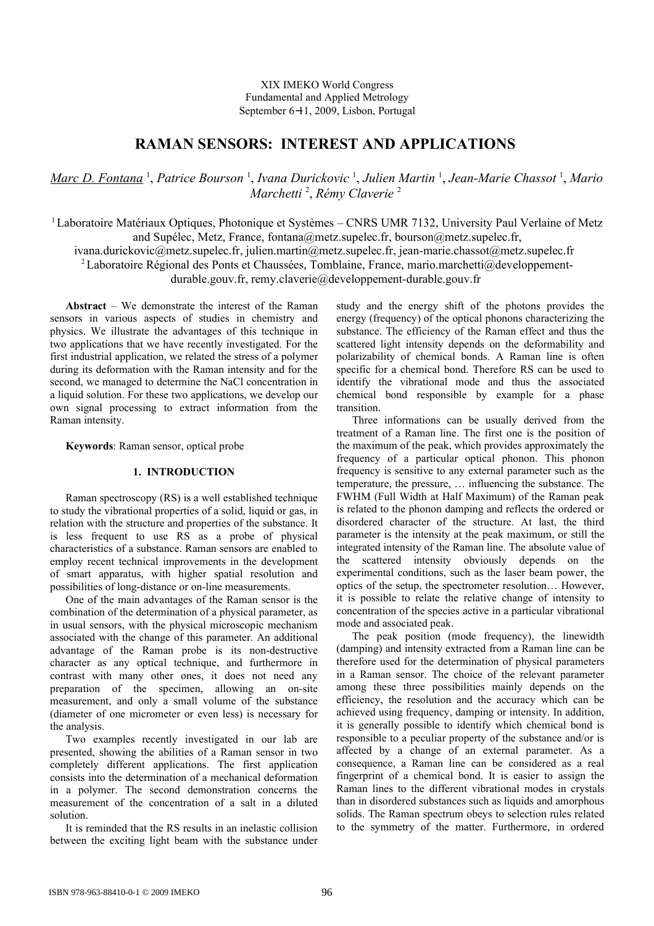XIX IMEKO World Congress Fundamental and Applied Metrology September 6−11, 2009, Lisbon, Portugal

# **RAMAN SENSORS: INTEREST AND APPLICATIONS**

*Marc D. Fontana* <sup>1</sup> , *Patrice Bourson* <sup>1</sup> , *Ivana Durickovic* <sup>1</sup> , *Julien Martin* <sup>1</sup> , *Jean-Marie Chassot* <sup>1</sup> , *Mario Marchetti* <sup>2</sup> , *Rémy Claverie* <sup>2</sup>

<sup>1</sup>Laboratoire Matériaux Optiques, Photonique et Systèmes – CNRS UMR 7132, University Paul Verlaine of Metz and Supélec, Metz, France, [fontana@metz.supelec.fr,](mailto:fontana@metz.supelec.fr) [bourson@metz.supelec.fr,](mailto:bourson@metz.supelec.fr)

[ivana.durickovic@metz.supelec.fr,](mailto:ivana.durickovic@metz.supelec.fr) [julien.martin@metz.supelec.fr,](mailto:julien.martin@metz.supelec.fr) [jean-marie.chassot@metz.supelec.fr](mailto:jean-marie.chassot@metz.supelec.fr)  <sup>2</sup> Laboratoire Régional des Ponts et Chaussées, Tomblaine, France, [mario.marchetti@developpement-](mailto:mario.marchetti@developpement-durable.gouv.fr)

[durable.gouv.fr,](mailto:mario.marchetti@developpement-durable.gouv.fr) [remy.claverie@developpement-durable.gouv.fr](mailto:remy.claverie@developpement-durable.gouv.fr)

**Abstract** – We demonstrate the interest of the Raman sensors in various aspects of studies in chemistry and physics. We illustrate the advantages of this technique in two applications that we have recently investigated. For the first industrial application, we related the stress of a polymer during its deformation with the Raman intensity and for the second, we managed to determine the NaCl concentration in a liquid solution. For these two applications, we develop our own signal processing to extract information from the Raman intensity.

**Keywords**: Raman sensor, optical probe

## **1. INTRODUCTION**

Raman spectroscopy (RS) is a well established technique to study the vibrational properties of a solid, liquid or gas, in relation with the structure and properties of the substance. It is less frequent to use RS as a probe of physical characteristics of a substance. Raman sensors are enabled to employ recent technical improvements in the development of smart apparatus, with higher spatial resolution and possibilities of long-distance or on-line measurements.

One of the main advantages of the Raman sensor is the combination of the determination of a physical parameter, as in usual sensors, with the physical microscopic mechanism associated with the change of this parameter. An additional advantage of the Raman probe is its non-destructive character as any optical technique, and furthermore in contrast with many other ones, it does not need any preparation of the specimen, allowing an on-site measurement, and only a small volume of the substance (diameter of one micrometer or even less) is necessary for the analysis.

Two examples recently investigated in our lab are presented, showing the abilities of a Raman sensor in two completely different applications. The first application consists into the determination of a mechanical deformation in a polymer. The second demonstration concerns the measurement of the concentration of a salt in a diluted solution.

It is reminded that the RS results in an inelastic collision between the exciting light beam with the substance under study and the energy shift of the photons provides the energy (frequency) of the optical phonons characterizing the substance. The efficiency of the Raman effect and thus the scattered light intensity depends on the deformability and polarizability of chemical bonds. A Raman line is often specific for a chemical bond. Therefore RS can be used to identify the vibrational mode and thus the associated chemical bond responsible by example for a phase transition.

Three informations can be usually derived from the treatment of a Raman line. The first one is the position of the maximum of the peak, which provides approximately the frequency of a particular optical phonon. This phonon frequency is sensitive to any external parameter such as the temperature, the pressure, … influencing the substance. The FWHM (Full Width at Half Maximum) of the Raman peak is related to the phonon damping and reflects the ordered or disordered character of the structure. At last, the third parameter is the intensity at the peak maximum, or still the integrated intensity of the Raman line. The absolute value of the scattered intensity obviously depends on the experimental conditions, such as the laser beam power, the optics of the setup, the spectrometer resolution… However, it is possible to relate the relative change of intensity to concentration of the species active in a particular vibrational mode and associated peak.

The peak position (mode frequency), the linewidth (damping) and intensity extracted from a Raman line can be therefore used for the determination of physical parameters in a Raman sensor. The choice of the relevant parameter among these three possibilities mainly depends on the efficiency, the resolution and the accuracy which can be achieved using frequency, damping or intensity. In addition, it is generally possible to identify which chemical bond is responsible to a peculiar property of the substance and/or is affected by a change of an external parameter. As a consequence, a Raman line can be considered as a real fingerprint of a chemical bond. It is easier to assign the Raman lines to the different vibrational modes in crystals than in disordered substances such as liquids and amorphous solids. The Raman spectrum obeys to selection rules related to the symmetry of the matter. Furthermore, in ordered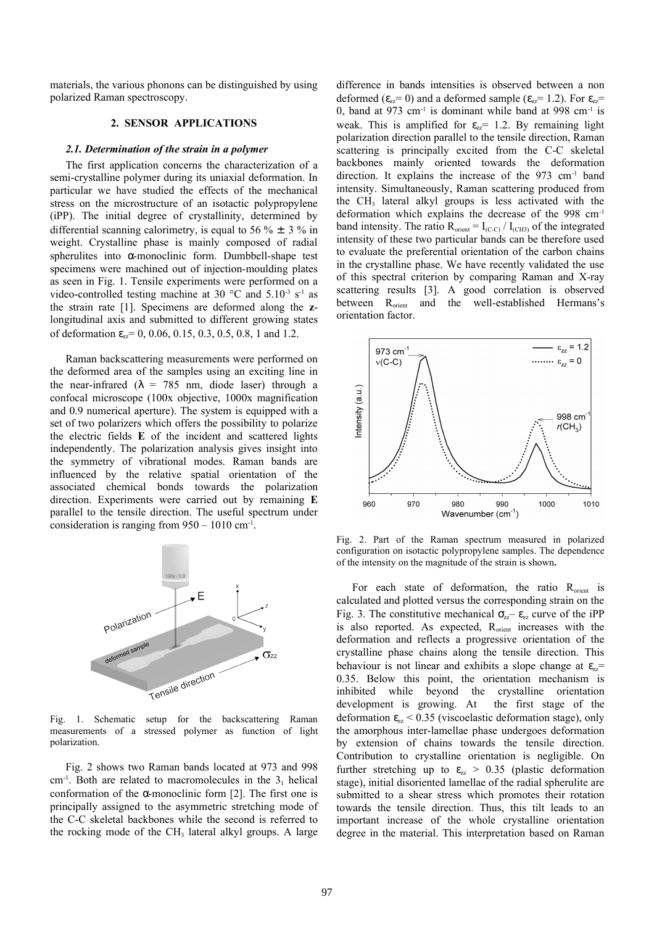materials, the various phonons can be distinguished by using polarized Raman spectroscopy.

#### **2. SENSOR APPLICATIONS**

### *2.1. Determination of the strain in a polymer*

The first application concerns the characterization of a semi-crystalline polymer during its uniaxial deformation. In particular we have studied the effects of the mechanical stress on the microstructure of an isotactic polypropylene (iPP). The initial degree of crystallinity, determined by differential scanning calorimetry, is equal to 56  $\% \pm 3 \%$  in weight. Crystalline phase is mainly composed of radial spherulites into α-monoclinic form. Dumbbell-shape test specimens were machined out of injection-moulding plates as seen in Fig. 1. Tensile experiments were performed on a video-controlled testing machine at 30  $^{\circ}$ C and 5.10<sup>-3</sup> s<sup>-1</sup> as the strain rate [1]. Specimens are deformed along the **z**longitudinal axis and submitted to different growing states of deformation  $\varepsilon_{zz} = 0$ , 0.06, 0.15, 0.3, 0.5, 0.8, 1 and 1.2.

Raman backscattering measurements were performed on the deformed area of the samples using an exciting line in the near-infrared ( $\lambda$  = 785 nm, diode laser) through a confocal microscope (100x objective, 1000x magnification and 0.9 numerical aperture). The system is equipped with a set of two polarizers which offers the possibility to polarize the electric fields **E** of the incident and scattered lights independently. The polarization analysis gives insight into the symmetry of vibrational modes. Raman bands are influenced by the relative spatial orientation of the associated chemical bonds towards the polarization direction. Experiments were carried out by remaining **E** parallel to the tensile direction. The useful spectrum under consideration is ranging from  $950 - 1010$  cm<sup>-1</sup>.



Fig. 1. Schematic setup for the backscattering Raman measurements of a stressed polymer as function of light polarization.

Fig. 2 shows two Raman bands located at 973 and 998  $cm<sup>-1</sup>$ . Both are related to macromolecules in the  $3<sub>1</sub>$  helical conformation of the  $\alpha$ -monoclinic form [2]. The first one is principally assigned to the asymmetric stretching mode of the C-C skeletal backbones while the second is referred to the rocking mode of the CH<sub>3</sub> lateral alkyl groups. A large

difference in bands intensities is observed between a non deformed ( $\varepsilon_{zz}= 0$ ) and a deformed sample ( $\varepsilon_{zz}= 1.2$ ). For  $\varepsilon_{zz}=$ 0, band at 973 cm<sup>-1</sup> is dominant while band at 998 cm<sup>-1</sup> is weak. This is amplified for  $\varepsilon_{zz}$  = 1.2. By remaining light polarization direction parallel to the tensile direction, Raman scattering is principally excited from the C-C skeletal backbones mainly oriented towards the deformation direction. It explains the increase of the 973 cm-1 band intensity. Simultaneously, Raman scattering produced from the  $CH<sub>3</sub>$  lateral alkyl groups is less activated with the deformation which explains the decrease of the 998 cm-1 band intensity. The ratio  $R_{orient} = I_{(C-C)} / I_{(CH3)}$  of the integrated intensity of these two particular bands can be therefore used to evaluate the preferential orientation of the carbon chains in the crystalline phase. We have recently validated the use of this spectral criterion by comparing Raman and X-ray scattering results [3]. A good correlation is observed between R<sub>orient</sub> and the well-established Hermans's orientation factor.



Fig. 2. Part of the Raman spectrum measured in polarized configuration on isotactic polypropylene samples. The dependence of the intensity on the magnitude of the strain is shown**.**

For each state of deformation, the ratio  $R_{\text{orient}}$  is calculated and plotted versus the corresponding strain on the Fig. 3. The constitutive mechanical  $\sigma_{zz}$  –  $\varepsilon_{zz}$  curve of the iPP is also reported. As expected, R<sub>orient</sub> increases with the deformation and reflects a progressive orientation of the crystalline phase chains along the tensile direction. This behaviour is not linear and exhibits a slope change at  $\varepsilon_{zz}$ = 0.35. Below this point, the orientation mechanism is inhibited while beyond the crystalline orientation development is growing. At the first stage of the deformation  $\varepsilon_{zz}$  < 0.35 (viscoelastic deformation stage), only the amorphous inter-lamellae phase undergoes deformation by extension of chains towards the tensile direction. Contribution to crystalline orientation is negligible. On further stretching up to  $\varepsilon_{zz} > 0.35$  (plastic deformation stage), initial disoriented lamellae of the radial spherulite are submitted to a shear stress which promotes their rotation towards the tensile direction. Thus, this tilt leads to an important increase of the whole crystalline orientation degree in the material. This interpretation based on Raman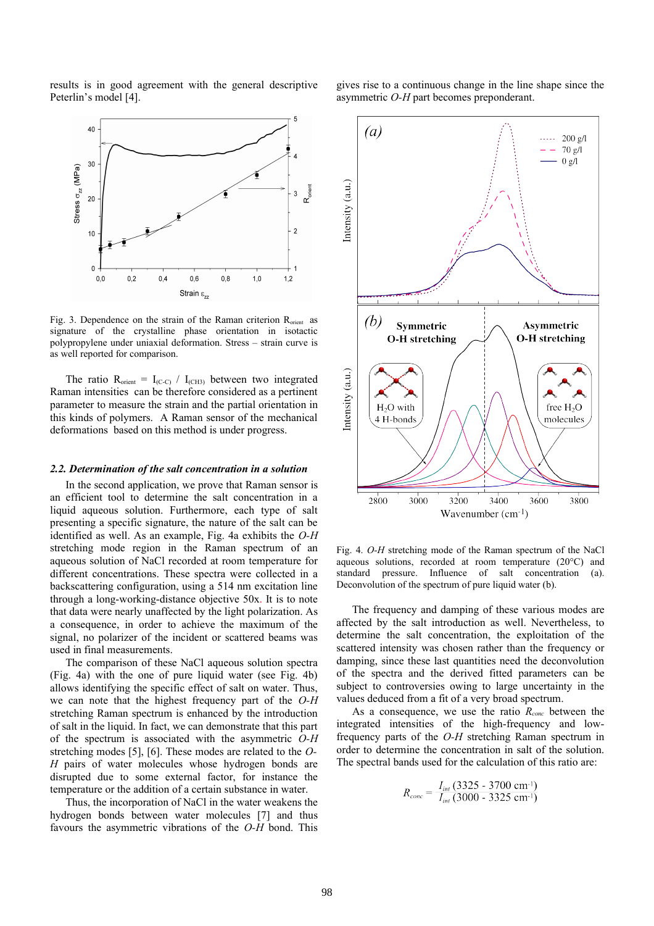results is in good agreement with the general descriptive Peterlin's model [4].



Fig. 3. Dependence on the strain of the Raman criterion R<sub>orient</sub> as signature of the crystalline phase orientation in isotactic polypropylene under uniaxial deformation. Stress – strain curve is as well reported for comparison.

The ratio  $R_{orient} = I_{(C-C)} / I_{(CH3)}$  between two integrated Raman intensities can be therefore considered as a pertinent parameter to measure the strain and the partial orientation in this kinds of polymers. A Raman sensor of the mechanical deformations based on this method is under progress.

#### *2.2. Determination of the salt concentration in a solution*

In the second application, we prove that Raman sensor is an efficient tool to determine the salt concentration in a liquid aqueous solution. Furthermore, each type of salt presenting a specific signature, the nature of the salt can be identified as well. As an example, Fig. 4a exhibits the *O-H* stretching mode region in the Raman spectrum of an aqueous solution of NaCl recorded at room temperature for different concentrations. These spectra were collected in a backscattering configuration, using a 514 nm excitation line through a long-working-distance objective 50x. It is to note that data were nearly unaffected by the light polarization. As a consequence, in order to achieve the maximum of the signal, no polarizer of the incident or scattered beams was used in final measurements.

The comparison of these NaCl aqueous solution spectra (Fig. 4a) with the one of pure liquid water (see Fig. 4b) allows identifying the specific effect of salt on water. Thus, we can note that the highest frequency part of the *O-H* stretching Raman spectrum is enhanced by the introduction of salt in the liquid. In fact, we can demonstrate that this part of the spectrum is associated with the asymmetric *O-H* stretching modes [5], [6]. These modes are related to the *O-H* pairs of water molecules whose hydrogen bonds are disrupted due to some external factor, for instance the temperature or the addition of a certain substance in water.

Thus, the incorporation of NaCl in the water weakens the hydrogen bonds between water molecules [7] and thus favours the asymmetric vibrations of the *O-H* bond. This gives rise to a continuous change in the line shape since the asymmetric *O-H* part becomes preponderant.



Fig. 4. *O-H* stretching mode of the Raman spectrum of the NaCl aqueous solutions, recorded at room temperature (20°C) and standard pressure. Influence of salt concentration (a). Deconvolution of the spectrum of pure liquid water (b).

The frequency and damping of these various modes are affected by the salt introduction as well. Nevertheless, to determine the salt concentration, the exploitation of the scattered intensity was chosen rather than the frequency or damping, since these last quantities need the deconvolution of the spectra and the derived fitted parameters can be subject to controversies owing to large uncertainty in the values deduced from a fit of a very broad spectrum.

As a consequence, we use the ratio *Rconc* between the integrated intensities of the high-frequency and lowfrequency parts of the *O-H* stretching Raman spectrum in order to determine the concentration in salt of the solution. The spectral bands used for the calculation of this ratio are:

$$
R_{conc} = \frac{I_{int} (3325 - 3700 \text{ cm}^{-1})}{I_{int} (3000 - 3325 \text{ cm}^{-1})}
$$